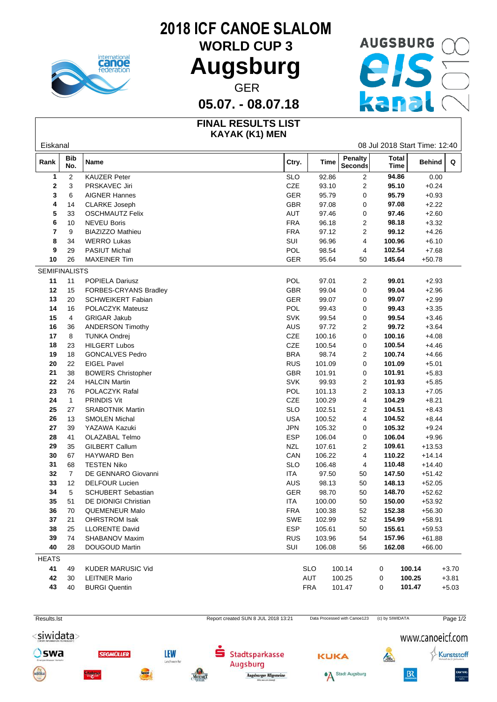

## **2018 ICF CANOE SLALOM**

**WORLD CUP 3**

### **05.07. - 08.07.18**

# Augsburg **PIS** GER **GER**

#### **FINAL RESULTS LIST KAYAK (K1) MEN**

| Eiskanal             |                   |                           | 08 Jul 2018 Start Time: 12:40       |            |        |                                  |                             |        |          |          |
|----------------------|-------------------|---------------------------|-------------------------------------|------------|--------|----------------------------------|-----------------------------|--------|----------|----------|
| Rank                 | <b>Bib</b><br>No. | Name                      |                                     | Ctry.      | Time   | <b>Penalty</b><br><b>Seconds</b> | <b>Total</b><br><b>Time</b> |        | Behind   | Q        |
| $\mathbf{1}$         | $\overline{c}$    | <b>KAUZER Peter</b>       |                                     | <b>SLO</b> | 92.86  | 2                                | 94.86                       |        | 0.00     |          |
| 2                    | 3                 | PRSKAVEC Jiri             |                                     | CZE        | 93.10  | $\overline{c}$                   | 95.10                       |        | $+0.24$  |          |
| 3                    | 6                 | <b>AIGNER Hannes</b>      |                                     | GER        | 95.79  | 0                                | 95.79                       |        | $+0.93$  |          |
| 4                    | 14                | <b>CLARKE Joseph</b>      |                                     | GBR        | 97.08  | 0                                | 97.08                       |        | $+2.22$  |          |
| 5                    | 33                | <b>OSCHMAUTZ Felix</b>    |                                     | AUT        | 97.46  | 0                                | 97.46                       |        | $+2.60$  |          |
| 6                    | 10                | <b>NEVEU Boris</b>        |                                     | <b>FRA</b> | 96.18  | 2                                | 98.18                       |        | $+3.32$  |          |
| 7                    | 9                 | <b>BIAZIZZO Mathieu</b>   |                                     | <b>FRA</b> | 97.12  | $\overline{2}$                   | 99.12                       |        | $+4.26$  |          |
| 8                    | 34                | <b>WERRO Lukas</b>        | SUI                                 |            | 96.96  | 4                                | 100.96                      |        | $+6.10$  |          |
| 9                    | 29                | <b>PASIUT Michal</b>      |                                     | POL        | 98.54  | 4                                | 102.54                      |        | $+7.68$  |          |
| 10                   | 26                | <b>MAXEINER Tim</b>       |                                     | GER        | 95.64  | 50                               | 145.64                      |        | $+50.78$ |          |
| <b>SEMIFINALISTS</b> |                   |                           |                                     |            |        |                                  |                             |        |          |          |
| 11                   | 11                | POPIELA Dariusz           |                                     | POL        | 97.01  | $\overline{2}$                   | 99.01                       |        | $+2.93$  |          |
| 12                   | 15                | FORBES-CRYANS Bradley     |                                     | <b>GBR</b> | 99.04  | 0                                | 99.04                       |        | $+2.96$  |          |
| 13                   | 20                | <b>SCHWEIKERT Fabian</b>  |                                     | <b>GER</b> | 99.07  | 0                                | 99.07                       |        | $+2.99$  |          |
| 14                   | 16                | POLACZYK Mateusz          |                                     | POL        | 99.43  | 0                                | 99.43                       |        | $+3.35$  |          |
| 15                   | $\overline{4}$    | <b>GRIGAR Jakub</b>       |                                     | <b>SVK</b> | 99.54  | 0                                | 99.54                       |        | $+3.46$  |          |
| 16                   | 36                | <b>ANDERSON Timothy</b>   |                                     | AUS        | 97.72  | $\overline{2}$                   | 99.72                       |        | $+3.64$  |          |
| 17                   | 8                 | <b>TUNKA Ondrej</b>       |                                     | CZE        | 100.16 | 0                                | 100.16                      |        | $+4.08$  |          |
| $18$                 | 23                | <b>HILGERT Lubos</b>      |                                     | CZE        | 100.54 | 0                                | 100.54                      |        | $+4.46$  |          |
| 19                   | 18                | <b>GONCALVES Pedro</b>    |                                     | <b>BRA</b> | 98.74  | 2                                | 100.74                      |        | $+4.66$  |          |
| 20                   | 22                | <b>EIGEL Pavel</b>        |                                     | <b>RUS</b> | 101.09 | 0                                | 101.09                      |        | $+5.01$  |          |
| 21                   | 38                | <b>BOWERS Christopher</b> |                                     | GBR        | 101.91 | 0                                | 101.91                      |        | $+5.83$  |          |
| 22                   | 24                | <b>HALCIN Martin</b>      |                                     | <b>SVK</b> | 99.93  | $\overline{c}$                   | 101.93                      |        | $+5.85$  |          |
| 23                   | 76                | POLACZYK Rafal            |                                     | POL        | 101.13 | $\overline{2}$                   | 103.13                      |        | $+7.05$  |          |
| ${\bf 24}$           | $\overline{1}$    | <b>PRINDIS Vit</b>        |                                     | CZE        | 100.29 | 4                                | 104.29                      |        | $+8.21$  |          |
| 25                   | 27                | <b>SRABOTNIK Martin</b>   |                                     | <b>SLO</b> | 102.51 | 2                                | 104.51                      |        | $+8.43$  |          |
| 26                   | 13                | <b>SMOLEN Michal</b>      |                                     | <b>USA</b> | 100.52 | 4                                | 104.52                      |        | $+8.44$  |          |
| ${\bf 27}$           | 39                | YAZAWA Kazuki             |                                     | <b>JPN</b> | 105.32 | 0                                | 105.32                      |        | $+9.24$  |          |
| 28                   | 41                | OLAZABAL Telmo            |                                     | <b>ESP</b> | 106.04 | 0                                | 106.04                      |        | $+9.96$  |          |
| 29                   | 35                | GILBERT Callum            | <b>NZL</b>                          |            | 107.61 | 2                                | 109.61                      |        | $+13.53$ |          |
| $30\,$               |                   |                           |                                     |            |        | 4                                | 110.22                      |        |          |          |
|                      | 67                | HAYWARD Ben               |                                     | CAN        | 106.22 |                                  |                             |        | $+14.14$ |          |
| 31                   | 68                | <b>TESTEN Niko</b>        |                                     | <b>SLO</b> | 106.48 | 4                                | 110.48                      |        | $+14.40$ |          |
| 32                   | $\overline{7}$    | DE GENNARO Giovanni       | ITA                                 |            | 97.50  | 50                               | 147.50                      |        | $+51.42$ |          |
| 33                   | 12                | <b>DELFOUR Lucien</b>     |                                     | AUS        | 98.13  | 50                               | 148.13                      |        | $+52.05$ |          |
| 34                   | 5                 | <b>SCHUBERT Sebastian</b> |                                     | GER        | 98.70  | 50                               | 148.70                      |        | $+52.62$ |          |
| 35                   | 51                | DE DIONIGI Christian      | ITA                                 |            | 100.00 | 50                               | 150.00                      |        | $+53.92$ |          |
| 36                   | 70                | QUEMENEUR Malo            |                                     | <b>FRA</b> | 100.38 | 52                               | 152.38                      |        | $+56.30$ |          |
| 37                   | 21                | <b>OHRSTROM Isak</b>      |                                     | SWE        | 102.99 | 52                               | 154.99                      |        | $+58.91$ |          |
| 38                   | 25                | <b>LLORENTE David</b>     |                                     | <b>ESP</b> | 105.61 | 50                               | 155.61                      |        | $+59.53$ |          |
| 39                   | 74                | SHABANOV Maxim            |                                     | <b>RUS</b> | 103.96 | 54                               | 157.96                      |        | $+61.88$ |          |
| 40                   | 28                | <b>DOUGOUD Martin</b>     | SUI                                 |            | 106.08 | 56                               | 162.08                      |        | $+66.00$ |          |
| <b>HEATS</b>         |                   |                           |                                     |            |        |                                  |                             |        |          |          |
| 41                   | 49                | <b>KUDER MARUSIC Vid</b>  |                                     | <b>SLO</b> |        | 100.14                           | 0                           | 100.14 |          | $+3.70$  |
| 42                   | 30                | LEITNER Mario             |                                     | AUT        |        | 100.25                           | 0                           | 100.25 |          | $+3.81$  |
| 43                   | 40                | <b>BURGI Quentin</b>      |                                     | <b>FRA</b> |        | 101.47                           | 0                           | 101.47 |          | $+5.03$  |
| Results.lst          |                   |                           | Report created SUN 8 JUL 2018 13:21 |            |        | Data Processed with Canoe123     | (c) by SIWIDATA             |        |          | Page 1/2 |

<siwidata>

Oswa





**SEGMOLLER** 

**LEW** 

werke







Kunststoff

 $\sqrt{2}$ 

 $B<sub>x</sub>$